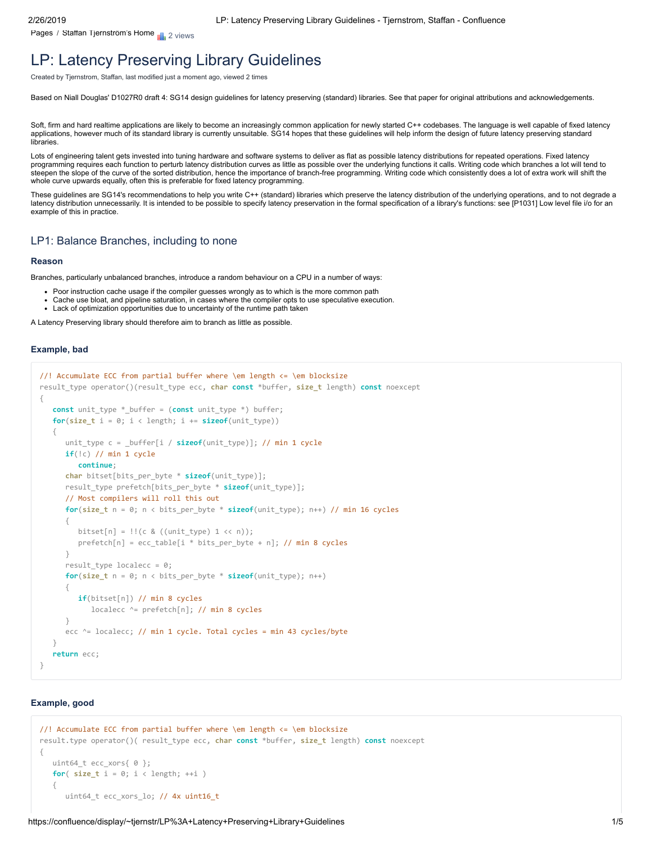[Pages](https://confluence/collector/pages.action?key=~tjernstr&src=breadcrumbs-collector) / [Staffan Tjernström's Home](https://confluence/pages/viewpage.action?pageId=38376782&src=breadcrumbs-parent) <sub>2</sub> views

# [LP: Latency Preserving Library Guidelines](https://confluence/display/~tjernstr/LP%3A+Latency+Preserving+Library+Guidelines)

Created by [Tjernstrom, Staffan,](https://confluence/display/~tjernstr) last modified [just a moment ago,](https://confluence/pages/diffpagesbyversion.action?pageId=61572105&selectedPageVersions=1&selectedPageVersions=2) viewed 2 times

Based on Niall Douglas' D1027R0 draft 4: SG14 design guidelines for latency preserving (standard) libraries. See that paper for original attributions and acknowledgements.

Soft, firm and hard realtime applications are likely to become an increasingly common application for newly started C++ codebases. The language is well capable of fixed latency applications, however much of its standard library is currently unsuitable. SG14 hopes that these guidelines will help inform the design of future latency preserving standard libraries.

Lots of engineering talent gets invested into tuning hardware and software systems to deliver as flat as possible latency distributions for repeated operations. Fixed latency programming requires each function to perturb latency distribution curves as little as possible over the underlying functions it calls. Writing code which branches a lot will tend to steepen the slope of the curve of the sorted distribution, hence the importance of branch-free programming. Writing code which consistently does a lot of extra work will shift the whole curve upwards equally, often this is preferable for fixed latency programming.

These guidelines are SG14's recommendations to help you write C++ (standard) libraries which preserve the latency distribution of the underlying operations, and to not degrade a latency distribution unnecessarily. It is intended to be possible to specify latency preservation in the formal specification of a library's functions: see [P1031] Low level file i/o for an example of this in practice.

#### LP1: Balance Branches, including to none

#### **Reason**

Branches, particularly unbalanced branches, introduce a random behaviour on a CPU in a number of ways:

- Poor instruction cache usage if the compiler guesses wrongly as to which is the more common path
- Cache use bloat, and pipeline saturation, in cases where the compiler opts to use speculative execution.
- Lack of optimization opportunities due to uncertainty of the runtime path taken

A Latency Preserving library should therefore aim to branch as little as possible.

#### **Example, bad**

```
//! Accumulate ECC from partial buffer where \em length <= \em blocksize
result_type operator()(result_type ecc, char const *buffer, size_t length) const noexcept
{
    const unit_type *_buffer = (const unit_type *) buffer;
    for(size_t i = 0; i < length; i += sizeof(unit_type))
 {
       unit_type c = _buffer[i / sizeof(unit_type)]; // min 1 cycle
      if(!c) // min 1 cycle
          continue;
       char bitset[bits_per_byte * sizeof(unit_type)];
      result_type prefetch[bits_per_byte * sizeof(unit_type)];
      // Most compilers will roll this out
       for(size_t n = 0; n < bits_per_byte * sizeof(unit_type); n++) // min 16 cycles
       {
         bitset[n] = |!(c & ((unit type) 1 << n));
         prefetch[n] = ecc_table[i * bits per byte + n]; // min 8 cycles
       }
     result type localecc = 0;
      for(size t n = 0; n < bits per byte * sizeof(unit type); n++)
       {
          if(bitset[n]) // min 8 cycles
            localecc ^= prefetch[n]; // min 8 cycles
       }
      ecc ^= localecc; // min 1 cycle. Total cycles = min 43 cycles/byte
    }
    return ecc;
}
```
### **Example, good**

```
//! Accumulate ECC from partial buffer where \em length <= \em blocksize
result.type operator()( result_type ecc, char const *buffer, size_t length) const noexcept
{
   uint64_t ecc_xors{ 0 };
   for( size_t i = 0; i < length; ++i )
 {
       uint64_t ecc_xors_lo; // 4x uint16_t
```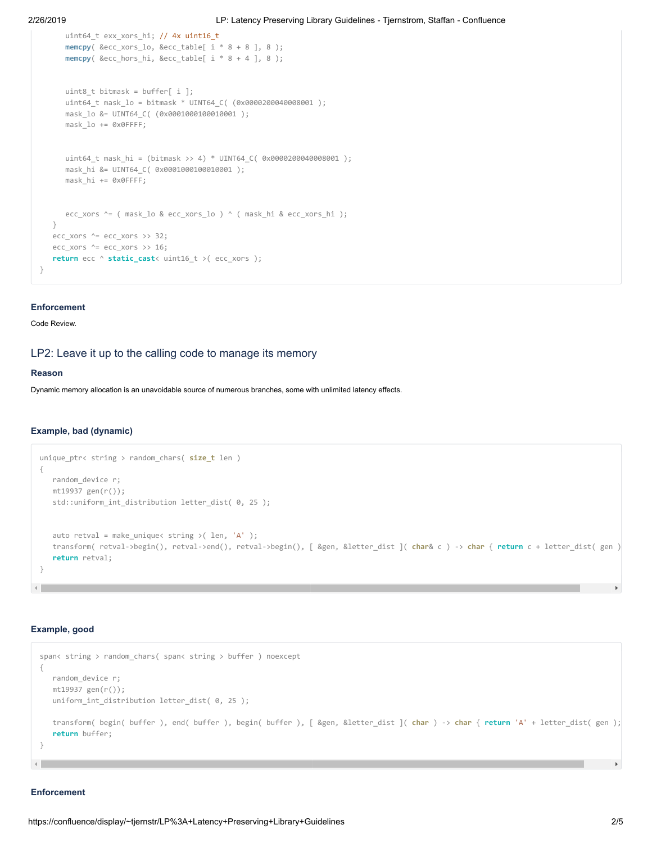```
 uint64_t exx_xors_hi; // 4x uint16_t
    memcpy( &ecc_xors_lo, &ecc_table[ i * 8 + 8 ], 8 );
    memcpy( &ecc_hors_hi, &ecc_table[ i * 8 + 4 ], 8 );
    uint8_t bitmask = buffer[ i ];
    uint64_t mask_lo = bitmask * UINT64_C( (0x0000200040008001 );
    mask_lo &= UINT64_C( (0x0001000100010001 );
    mask_lo += 0x0FFFF;
    uint64_t mask_hi = (bitmask >> 4) * UINT64_C( 0x0000200040008001 );
   mask hi &= UINT64 C( 0x0001000100010001 );
    mask_hi += 0x0FFFF;
   ecc xors ^{\wedge} = ( mask lo & ecc xors lo ) ^{\wedge} ( mask hi & ecc xors hi );
 }
ecc_xors ^{\wedge} = ecc_xors >> 32;
ecc\_xors \sim ecc\_xors \gg 16; return ecc ^ static_cast< uint16_t >( ecc_xors );
```
#### **Enforcement**

}

#### Code Review.

# LP2: Leave it up to the calling code to manage its memory

#### **Reason**

Dynamic memory allocation is an unavoidable source of numerous branches, some with unlimited latency effects.

#### **Example, bad (dynamic)**

```
unique_ptr< string > random_chars( size_t len )
{
   random_device r;
   mt19937 gen(r());
    std::uniform_int_distribution letter_dist( 0, 25 );
   auto retval = make_unique< string >( len, 'A' );
   transform( retval->begin(), retval->end(), retval->begin(), [ &gen, &letter_dist ]( char& c ) -> char { return c + letter_dist( gen )
    return retval;
}
```
#### **Example, good**

```
span< string > random_chars( span< string > buffer ) noexcept
{
   random_device r;
   mt19937 gen(r());
   uniform_int_distribution letter_dist( 0, 25 );
   transform( begin( buffer ), end( buffer ), begin( buffer ), [ &gen, &letter_dist ]( char ) -> char { return 'A' + letter_dist( gen );
    return buffer;
}
```
#### **Enforcement**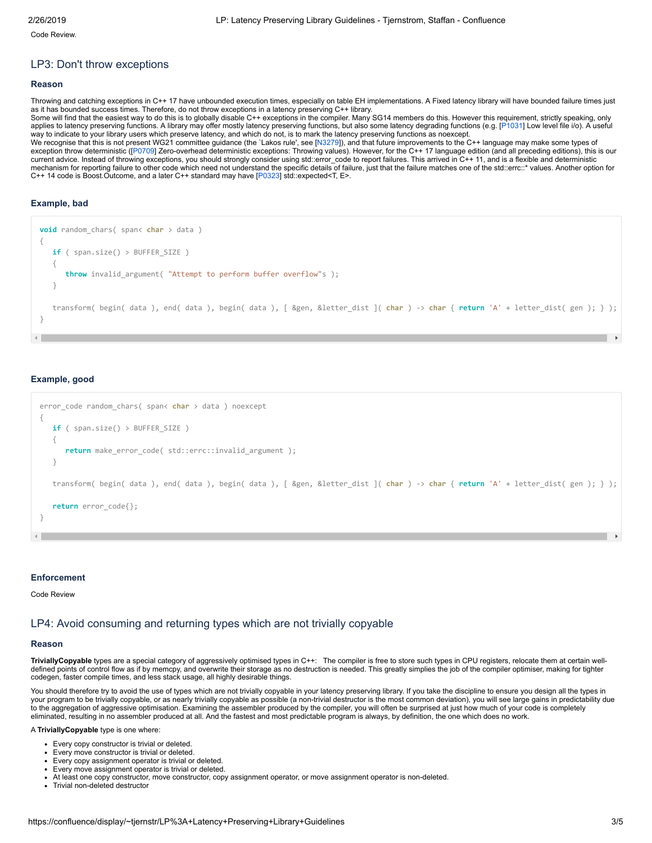Code Review.

## LP3: Don't throw exceptions

#### **Reason**

Throwing and catching exceptions in C++ 17 have unbounded execution times, especially on table EH implementations. A Fixed latency library will have bounded failure times just as it has bounded success times. Therefore, do not throw exceptions in a latency preserving C++ library. Some will find that the easiest way to do this is to globally disable C++ exceptions in the compiler. Many SG14 members do this. However this requirement, strictly speaking, only applies to latency preserving functions. A library may offer mostly latency preserving functions, but also some latency degrading functions (e.g. [\[P1031](http://wg21.link/p1031)] Low level file i/o). A useful way to indicate to your library users which preserve latency, and which do not, is to mark the latency preserving functions as noexcept. We recognise that this is not present WG21 committee guidance (the `Lakos rule', see [[N3279](http://wg21.link/n3279)]), and that future improvements to the C++ language may make some types of exception throw deterministic ([[P0709](http://wg21.link/p0709)] Zero-overhead deterministic exceptions: Throwing values). However, for the C++ 17 language edition (and all preceding editions), this is our current advice. Instead of throwing exceptions, you should strongly consider using std::error\_code to report failures. This arrived in C++ 11, and is a flexible and deterministic mechanism for reporting failure to other code which need not understand the specific details of failure, just that the failure matches one of the std::errc::\* values. Another option for C++ 14 code is Boost.Outcome, and a later C++ standard may have [[P0323\]](http://wg21.link/p323) std::expected<T, E>.

### **Example, bad**

```
void random_chars( span< char > data )
{
    if ( span.size() > BUFFER_SIZE )
    {
       throw invalid_argument( "Attempt to perform buffer overflow"s );
 }
    transform( begin( data ), end( data ), begin( data ), [ &gen, &letter_dist ]( char ) -> char { return 'A' + letter_dist( gen ); } );
}
```
#### **Example, good**

```
error_code random_chars( span< char > data ) noexcept
{
   if ( span.size() > BUFFER_SIZE )
    {
       return make_error_code( std::errc::invalid_argument );
    }
   transform( begin( data ), end( data ), begin( data ), [ &gen, &letter_dist ]( char ) -> char { return 'A' + letter_dist( gen ); } );
    return error_code{};
}
```
#### **Enforcement**

Code Review

# LP4: Avoid consuming and returning types which are not trivially copyable

#### **Reason**

**TriviallyCopyable** types are a special category of aggressively optimised types in C++: The compiler is free to store such types in CPU registers, relocate them at certain welldefined points of control flow as if by memcpy, and overwrite their storage as no destruction is needed. This greatly simplies the job of the compiler optimiser, making for tighter codegen, faster compile times, and less stack usage, all highly desirable things.

You should therefore try to avoid the use of types which are not trivially copyable in your latency preserving library. If you take the discipline to ensure you design all the types in your program to be trivially copyable, or as nearly trivially copyable as possible (a non-trivial destructor is the most common deviation), you will see large gains in predictability due to the aggregation of aggressive optimisation. Examining the assembler produced by the compiler, you will often be surprised at just how much of your code is completely eliminated, resulting in no assembler produced at all. And the fastest and most predictable program is always, by definition, the one which does no work.

A **TriviallyCopyable** type is one where:

- Every copy constructor is trivial or deleted.
- Every move constructor is trivial or deleted.
- Every copy assignment operator is trivial or deleted.
- Every move assignment operator is trivial or deleted.
- At least one copy constructor, move constructor, copy assignment operator, or move assignment operator is non-deleted.
- Trivial non-deleted destructor